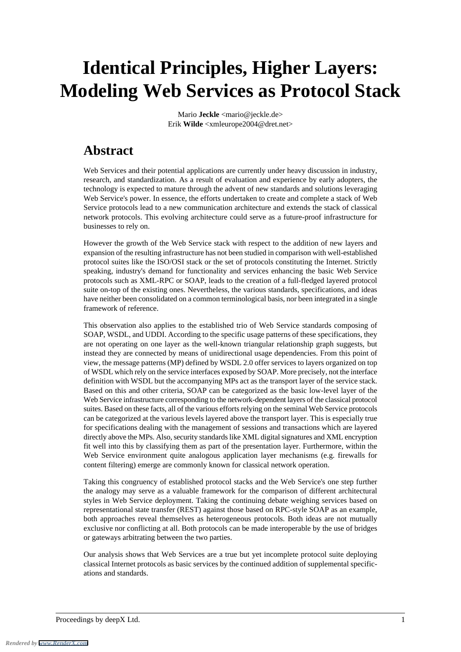# **Identical Principles, Higher Layers: Modeling Web Services as Protocol Stack**

Mario **Jeckle** <mario@jeckle.de> Erik **Wilde** <xmleurope2004@dret.net>

## **Abstract**

Web Services and their potential applications are currently under heavy discussion in industry, research, and standardization. As a result of evaluation and experience by early adopters, the technology is expected to mature through the advent of new standards and solutions leveraging Web Service's power. In essence, the efforts undertaken to create and complete a stack of Web Service protocols lead to a new communication architecture and extends the stack of classical network protocols. This evolving architecture could serve as a future-proof infrastructure for businesses to rely on.

However the growth of the Web Service stack with respect to the addition of new layers and expansion of the resulting infrastructure has not been studied in comparison with well-established protocol suites like the ISO/OSI stack or the set of protocols constituting the Internet. Strictly speaking, industry's demand for functionality and services enhancing the basic Web Service protocols such as XML-RPC or SOAP, leads to the creation of a full-fledged layered protocol suite on-top of the existing ones. Nevertheless, the various standards, specifications, and ideas have neither been consolidated on a common terminological basis, nor been integrated in a single framework of reference.

This observation also applies to the established trio of Web Service standards composing of SOAP, WSDL, and UDDI. According to the specific usage patterns of these specifications, they are not operating on one layer as the well-known triangular relationship graph suggests, but instead they are connected by means of unidirectional usage dependencies. From this point of view, the message patterns (MP) defined by WSDL 2.0 offer services to layers organized on top of WSDL which rely on the service interfaces exposed by SOAP. More precisely, not the interface definition with WSDL but the accompanying MPs act as the transport layer of the service stack. Based on this and other criteria, SOAP can be categorized as the basic low-level layer of the Web Service infrastructure corresponding to the network-dependent layers of the classical protocol suites. Based on these facts, all of the various efforts relying on the seminal Web Service protocols can be categorized at the various levels layered above the transport layer. This is especially true for specifications dealing with the management of sessions and transactions which are layered directly above the MPs. Also, security standards like XML digital signatures and XML encryption fit well into this by classifying them as part of the presentation layer. Furthermore, within the Web Service environment quite analogous application layer mechanisms (e.g. firewalls for content filtering) emerge are commonly known for classical network operation.

Taking this congruency of established protocol stacks and the Web Service's one step further the analogy may serve as a valuable framework for the comparison of different architectural styles in Web Service deployment. Taking the continuing debate weighing services based on representational state transfer (REST) against those based on RPC-style SOAP as an example, both approaches reveal themselves as heterogeneous protocols. Both ideas are not mutually exclusive nor conflicting at all. Both protocols can be made interoperable by the use of bridges or gateways arbitrating between the two parties.

Our analysis shows that Web Services are a true but yet incomplete protocol suite deploying classical Internet protocols as basic services by the continued addition of supplemental specifications and standards.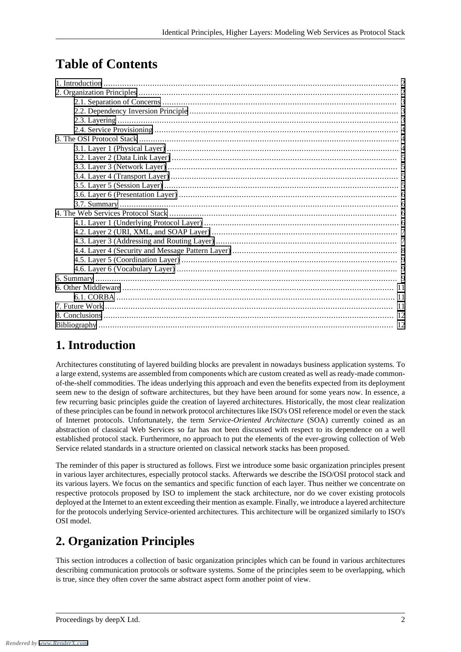# **Table of Contents**

## <span id="page-1-0"></span>**1. Introduction**

Architectures constituting of layered building blocks are prevalent in nowadays business application systems. To a large extend, systems are assembled from components which are custom created as well as ready-made commonof-the-shelf commodities. The ideas underlying this approach and even the benefits expected from its deployment seem new to the design of software architectures, but they have been around for some years now. In essence, a few recurring basic principles guide the creation of layered architectures. Historically, the most clear realization of these principles can be found in network protocol architectures like ISO's OSI reference model or even the stack of Internet protocols. Unfortunately, the term *Service-Oriented Architecture* (SOA) currently coined as an abstraction of classical Web Services so far has not been discussed with respect to its dependence on a well established protocol stack. Furthermore, no approach to put the elements of the ever-growing collection of Web Service related standards in a structure oriented on classical network stacks has been proposed.

<span id="page-1-1"></span>The reminder of this paper is structured as follows. First we introduce some basic organization principles present in various layer architectures, especially protocol stacks. Afterwards we describe the ISO/OSI protocol stack and its various layers. We focus on the semantics and specific function of each layer. Thus neither we concentrate on respective protocols proposed by ISO to implement the stack architecture, nor do we cover existing protocols deployed at the Internet to an extent exceeding their mention as example. Finally, we introduce a layered architecture for the protocols underlying Service-oriented architectures. This architecture will be organized similarly to ISO's OSI model.

## **2. Organization Principles**

This section introduces a collection of basic organization principles which can be found in various architectures describing communication protocols or software systems. Some of the principles seem to be overlapping, which is true, since they often cover the same abstract aspect form another point of view.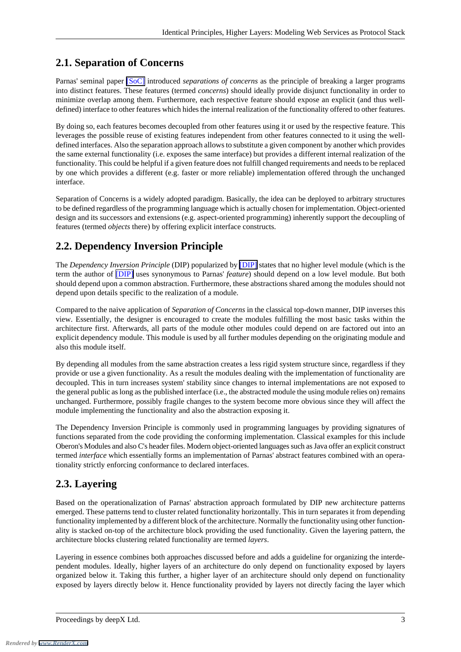#### <span id="page-2-0"></span>**2.1. Separation of Concerns**

Parnas' seminal paper [\[SoC\]](#page-12-0) introduced *separations of concerns* as the principle of breaking a larger programs into distinct features. These features (termed *concerns*) should ideally provide disjunct functionality in order to minimize overlap among them. Furthermore, each respective feature should expose an explicit (and thus welldefined) interface to other features which hides the internal realization of the functionality offered to other features.

By doing so, each features becomes decoupled from other features using it or used by the respective feature. This leverages the possible reuse of existing features independent from other features connected to it using the welldefined interfaces. Also the separation approach allows to substitute a given component by another which provides the same external functionality (i.e. exposes the same interface) but provides a different internal realization of the functionality. This could be helpful if a given feature does not fulfill changed requirements and needs to be replaced by one which provides a different (e.g. faster or more reliable) implementation offered through the unchanged interface.

<span id="page-2-1"></span>Separation of Concerns is a widely adopted paradigm. Basically, the idea can be deployed to arbitrary structures to be defined regardless of the programming language which is actually chosen for implementation. Object-oriented design and its successors and extensions (e.g. aspect-oriented programming) inherently support the decoupling of features (termed *objects* there) by offering explicit interface constructs.

## **2.2. Dependency Inversion Principle**

The *Dependency Inversion Principle* (DIP) popularized by [\[DIP\]](#page-11-2) states that no higher level module (which is the term the author of [\[DIP\]](#page-11-2) uses synonymous to Parnas' *feature*) should depend on a low level module. But both should depend upon a common abstraction. Furthermore, these abstractions shared among the modules should not depend upon details specific to the realization of a module.

Compared to the naive application of *Separation of Concerns* in the classical top-down manner, DIP inverses this view. Essentially, the designer is encouraged to create the modules fulfilling the most basic tasks within the architecture first. Afterwards, all parts of the module other modules could depend on are factored out into an explicit dependency module. This module is used by all further modules depending on the originating module and also this module itself.

By depending all modules from the same abstraction creates a less rigid system structure since, regardless if they provide or use a given functionality. As a result the modules dealing with the implementation of functionality are decoupled. This in turn increases system' stability since changes to internal implementations are not exposed to the general public as long as the published interface (i.e., the abstracted module the using module relies on) remains unchanged. Furthermore, possibly fragile changes to the system become more obvious since they will affect the module implementing the functionality and also the abstraction exposing it.

<span id="page-2-2"></span>The Dependency Inversion Principle is commonly used in programming languages by providing signatures of functions separated from the code providing the conforming implementation. Classical examples for this include Oberon's Modules and also C's header files. Modern object-oriented languages such as Java offer an explicit construct termed *interface* which essentially forms an implementation of Parnas' abstract features combined with an operationality strictly enforcing conformance to declared interfaces.

#### **2.3. Layering**

Based on the operationalization of Parnas' abstraction approach formulated by DIP new architecture patterns emerged. These patterns tend to cluster related functionality horizontally. This in turn separates it from depending functionality implemented by a different block of the architecture. Normally the functionality using other functionality is stacked on-top of the architecture block providing the used functionality. Given the layering pattern, the architecture blocks clustering related functionality are termed *layers*.

Layering in essence combines both approaches discussed before and adds a guideline for organizing the interdependent modules. Ideally, higher layers of an architecture do only depend on functionality exposed by layers organized below it. Taking this further, a higher layer of an architecture should only depend on functionality exposed by layers directly below it. Hence functionality provided by layers not directly facing the layer which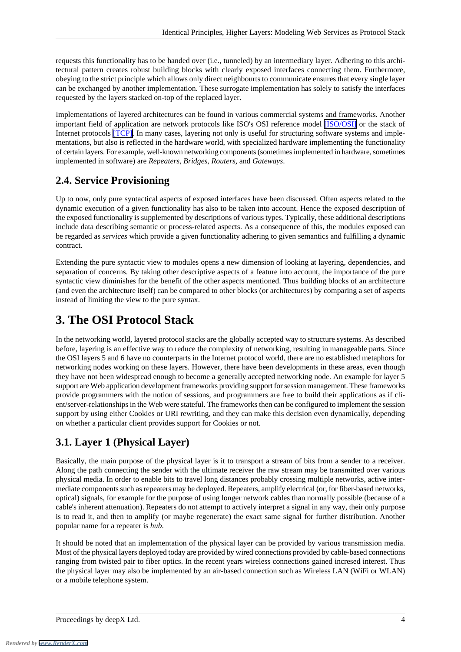requests this functionality has to be handed over (i.e., tunneled) by an intermediary layer. Adhering to this architectural pattern creates robust building blocks with clearly exposed interfaces connecting them. Furthermore, obeying to the strict principle which allows only direct neighbourts to communicate ensures that every single layer can be exchanged by another implementation. These surrogate implementation has solely to satisfy the interfaces requested by the layers stacked on-top of the replaced layer.

Implementations of layered architectures can be found in various commercial systems and frameworks. Another important field of application are network protocols like ISO's OSI reference model [\[ISO/OSI\]](#page-11-3) or the stack of Internet protocols [\[TCP\].](#page-12-1) In many cases, layering not only is useful for structuring software systems and implementations, but also is reflected in the hardware world, with specialized hardware implementing the functionality of certain layers. For example, well-known networking components (sometimes implemented in hardware, sometimes implemented in software) are *Repeaters*, *Bridges*, *Routers*, and *Gateways*.

#### <span id="page-3-0"></span>**2.4. Service Provisioning**

Up to now, only pure syntactical aspects of exposed interfaces have been discussed. Often aspects related to the dynamic execution of a given functionality has also to be taken into account. Hence the exposed description of the exposed functionality is supplemented by descriptions of various types. Typically, these additional descriptions include data describing semantic or process-related aspects. As a consequence of this, the modules exposed can be regarded as *services* which provide a given functionality adhering to given semantics and fulfilling a dynamic contract.

<span id="page-3-1"></span>Extending the pure syntactic view to modules opens a new dimension of looking at layering, dependencies, and separation of concerns. By taking other descriptive aspects of a feature into account, the importance of the pure syntactic view diminishes for the benefit of the other aspects mentioned. Thus building blocks of an architecture (and even the architecture itself) can be compared to other blocks (or architectures) by comparing a set of aspects instead of limiting the view to the pure syntax.

## **3. The OSI Protocol Stack**

<span id="page-3-2"></span>In the networking world, layered protocol stacks are the globally accepted way to structure systems. As described before, layering is an effective way to reduce the complexity of networking, resulting in manageable parts. Since the OSI layers 5 and 6 have no counterparts in the Internet protocol world, there are no established metaphors for networking nodes working on these layers. However, there have been developments in these areas, even though they have not been widespread enough to become a generally accepted networking node. An example for layer 5 support are Web application development frameworks providing support for session management. These frameworks provide programmers with the notion of sessions, and programmers are free to build their applications as if client/server-relationships in the Web were stateful. The frameworks then can be configured to implement the session support by using either Cookies or URI rewriting, and they can make this decision even dynamically, depending on whether a particular client provides support for Cookies or not.

#### **3.1. Layer 1 (Physical Layer)**

Basically, the main purpose of the physical layer is it to transport a stream of bits from a sender to a receiver. Along the path connecting the sender with the ultimate receiver the raw stream may be transmitted over various physical media. In order to enable bits to travel long distances probably crossing multiple networks, active intermediate components such as repeaters may be deployed. Repeaters, amplify electrical (or, for fiber-based networks, optical) signals, for example for the purpose of using longer network cables than normally possible (because of a cable's inherent attenuation). Repeaters do not attempt to actively interpret a signal in any way, their only purpose is to read it, and then to amplify (or maybe regenerate) the exact same signal for further distribution. Another popular name for a repeater is *hub*.

It should be noted that an implementation of the physical layer can be provided by various transmission media. Most of the physical layers deployed today are provided by wired connections provided by cable-based connections ranging from twisted pair to fiber optics. In the recent years wireless connections gained incresed interest. Thus the physical layer may also be implemented by an air-based connection such as Wireless LAN (WiFi or WLAN) or a mobile telephone system.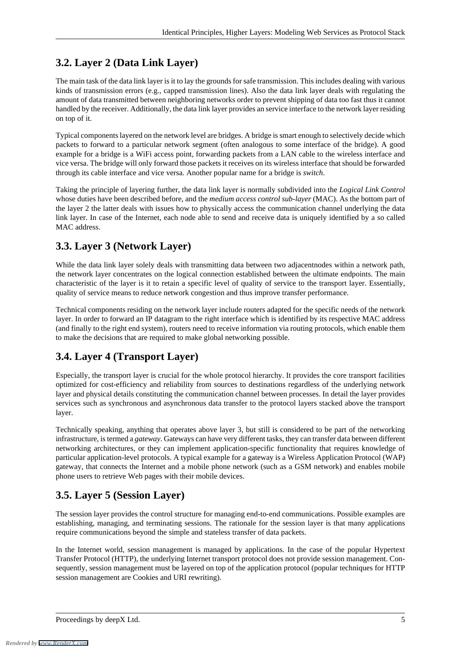#### <span id="page-4-0"></span>**3.2. Layer 2 (Data Link Layer)**

The main task of the data link layer is it to lay the grounds for safe transmission. This includes dealing with various kinds of transmission errors (e.g., capped transmission lines). Also the data link layer deals with regulating the amount of data transmitted between neighboring networks order to prevent shipping of data too fast thus it cannot handled by the receiver. Additionally, the data link layer provides an service interface to the network layer residing on top of it.

Typical components layered on the network level are bridges. A bridge is smart enough to selectively decide which packets to forward to a particular network segment (often analogous to some interface of the bridge). A good example for a bridge is a WiFi access point, forwarding packets from a LAN cable to the wireless interface and vice versa. The bridge will only forward those packets it receives on its wireless interface that should be forwarded through its cable interface and vice versa. Another popular name for a bridge is *switch*.

<span id="page-4-1"></span>Taking the principle of layering further, the data link layer is normally subdivided into the *Logical Link Control* whose duties have been described before, and the *medium access control sub-layer* (MAC). As the bottom part of the layer 2 the latter deals with issues how to physically access the communication channel underlying the data link layer. In case of the Internet, each node able to send and receive data is uniquely identified by a so called MAC address.

#### **3.3. Layer 3 (Network Layer)**

While the data link layer solely deals with transmitting data between two adjacentnodes within a network path, the network layer concentrates on the logical connection established between the ultimate endpoints. The main characteristic of the layer is it to retain a specific level of quality of service to the transport layer. Essentially, quality of service means to reduce network congestion and thus improve transfer performance.

<span id="page-4-2"></span>Technical components residing on the network layer include routers adapted for the specific needs of the network layer. In order to forward an IP datagram to the right interface which is identified by its respective MAC address (and finally to the right end system), routers need to receive information via routing protocols, which enable them to make the decisions that are required to make global networking possible.

## **3.4. Layer 4 (Transport Layer)**

Especially, the transport layer is crucial for the whole protocol hierarchy. It provides the core transport facilities optimized for cost-efficiency and reliability from sources to destinations regardless of the underlying network layer and physical details constituting the communication channel between processes. In detail the layer provides services such as synchronous and asynchronous data transfer to the protocol layers stacked above the transport layer.

<span id="page-4-3"></span>Technically speaking, anything that operates above layer 3, but still is considered to be part of the networking infrastructure, is termed a *gateway*. Gateways can have very different tasks, they can transfer data between different networking architectures, or they can implement application-specific functionality that requires knowledge of particular application-level protocols. A typical example for a gateway is a Wireless Application Protocol (WAP) gateway, that connects the Internet and a mobile phone network (such as a GSM network) and enables mobile phone users to retrieve Web pages with their mobile devices.

## **3.5. Layer 5 (Session Layer)**

The session layer provides the control structure for managing end-to-end communications. Possible examples are establishing, managing, and terminating sessions. The rationale for the session layer is that many applications require communications beyond the simple and stateless transfer of data packets.

In the Internet world, session management is managed by applications. In the case of the popular Hypertext Transfer Protocol (HTTP), the underlying Internet transport protocol does not provide session management. Consequently, session management must be layered on top of the application protocol (popular techniques for HTTP session management are Cookies and URI rewriting).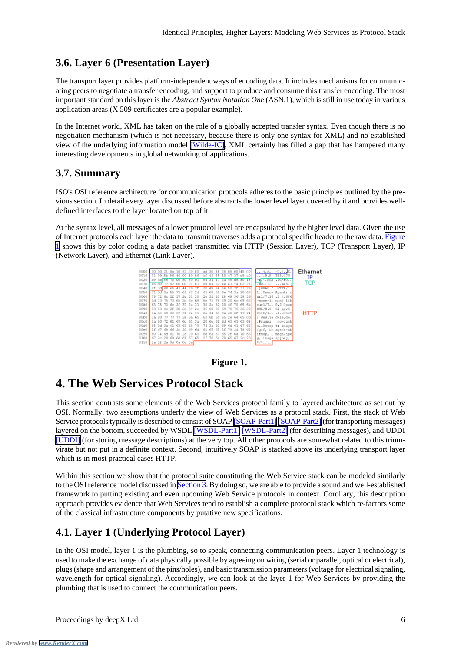#### <span id="page-5-0"></span>**3.6. Layer 6 (Presentation Layer)**

The transport layer provides platform-independent ways of encoding data. It includes mechanisms for communicating peers to negotiate a transfer encoding, and support to produce and consume this transfer encoding. The most important standard on this layer is the *Abstract Syntax Notation One* (ASN.1), which is still in use today in various application areas (X.509 certificates are a popular example).

<span id="page-5-1"></span>In the Internet world, XML has taken on the role of a globally accepted transfer syntax. Even though there is no negotiation mechanism (which is not necessary, because there is only one syntax for XML) and no established view of the underlying information model [\[Wilde-IC\]](#page-13-0), XML certainly has filled a gap that has hampered many interesting developments in global networking of applications.

#### **3.7. Summary**

ISO's OSI reference architecture for communication protocols adheres to the basic principles outlined by the previous section. In detail every layer discussed before abstracts the lower level layer covered by it and provides welldefined interfaces to the layer located on top of it.

<span id="page-5-4"></span>At the syntax level, all messages of a lower protocol level are encapsulated by the higher level data. Given the use of Internet protocols each layer the data to transmit traverses adds a protocol specific header to the raw data. [Figure](#page-5-4) [1](#page-5-4) shows this by color coding a data packet transmitted via HTTP (Session Layer), TCP (Transport Layer), IP (Network Layer), and Ethernet (Link Layer).





## <span id="page-5-2"></span>**4. The Web Services Protocol Stack**

This section contrasts some elements of the Web Services protocol family to layered architecture as set out by OSI. Normally, two assumptions underly the view of Web Services as a protocol stack. First, the stack of Web Service protocols typically is described to consist of SOAP [\[SOAP-Part1\]](#page-12-2) [\[SOAP-Part2\]](#page-12-3) (for transporting messages) layered on the bottom, succeeded by WSDL [\[WSDL-Part1\]](#page-12-4) [\[WSDL-Part2\]](#page-12-5) (for describing messages), and UDDI [\[UDDI\]](#page-12-6) (for storing message descriptions) at the very top. All other protocols are somewhat related to this triumvirate but not put in a definite context. Second, intuitively SOAP is stacked above its underlying transport layer which is in most practical cases HTTP.

<span id="page-5-3"></span>Within this section we show that the protocol suite constituting the Web Service stack can be modeled similarly to the OSI reference model discussed in [Section 3](#page-3-1). By doing so, we are able to provide a sound and well-established framework to putting existing and even upcoming Web Service protocols in context. Corollary, this description approach provides evidence that Web Services tend to establish a complete protocol stack which re-factors some of the classical infrastructure components by putative new specifications.

## **4.1. Layer 1 (Underlying Protocol Layer)**

In the OSI model, layer 1 is the plumbing, so to speak, connecting communication peers. Layer 1 technology is used to make the exchange of data physically possible by agreeing on wiring (serial or parallel, optical or electrical), plugs (shape and arrangement of the pins/holes), and basic transmission parameters (voltage for electrical signaling, wavelength for optical signaling). Accordingly, we can look at the layer 1 for Web Services by providing the plumbing that is used to connect the communication peers.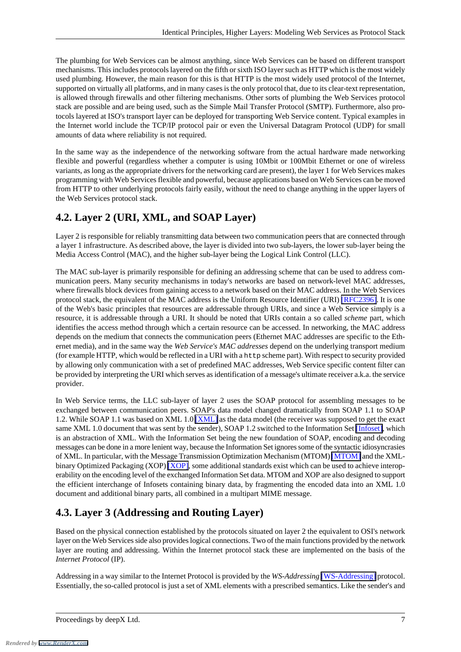The plumbing for Web Services can be almost anything, since Web Services can be based on different transport mechanisms. This includes protocols layered on the fifth or sixth ISO layer such as HTTP which is the most widely used plumbing. However, the main reason for this is that HTTP is the most widely used protocol of the Internet, supported on virtually all platforms, and in many cases is the only protocol that, due to its clear-text representation, is allowed through firewalls and other filtering mechanisms. Other sorts of plumbing the Web Services protocol stack are possible and are being used, such as the Simple Mail Transfer Protocol (SMTP). Furthermore, also protocols layered at ISO's transport layer can be deployed for transporting Web Service content. Typical examples in the Internet world include the TCP/IP protocol pair or even the Universal Datagram Protocol (UDP) for small amounts of data where reliability is not required.

In the same way as the independence of the networking software from the actual hardware made networking flexible and powerful (regardless whether a computer is using 10Mbit or 100Mbit Ethernet or one of wireless variants, as long as the appropriate drivers for the networking card are present), the layer 1 for Web Services makes programming with Web Services flexible and powerful, because applications based on Web Services can be moved from HTTP to other underlying protocols fairly easily, without the need to change anything in the upper layers of the Web Services protocol stack.

#### <span id="page-6-0"></span>**4.2. Layer 2 (URI, XML, and SOAP Layer)**

Layer 2 is responsible for reliably transmitting data between two communication peers that are connected through a layer 1 infrastructure. As described above, the layer is divided into two sub-layers, the lower sub-layer being the Media Access Control (MAC), and the higher sub-layer being the Logical Link Control (LLC).

The MAC sub-layer is primarily responsible for defining an addressing scheme that can be used to address communication peers. Many security mechanisms in today's networks are based on network-level MAC addresses, where firewalls block devices from gaining access to a network based on their MAC address. In the Web Services protocol stack, the equivalent of the MAC address is the Uniform Resource Identifier (URI) [\[RFC2396\]](#page-12-7). It is one of the Web's basic principles that resources are addressable through URIs, and since a Web Service simply is a resource, it is addressable through a URI. It should be noted that URIs contain a so called *scheme* part, which identifies the access method through which a certain resource can be accessed. In networking, the MAC address depends on the medium that connects the communication peers (Ethernet MAC addresses are specific to the Ethernet media), and in the same way the *Web Service's MAC addresses* depend on the underlying transport medium (for example HTTP, which would be reflected in a URI with a http scheme part). With respect to security provided by allowing only communication with a set of predefined MAC addresses, Web Service specific content filter can be provided by interpreting the URI which serves as identification of a message's ultimate receiver a.k.a. the service provider.

<span id="page-6-1"></span>In Web Service terms, the LLC sub-layer of layer 2 uses the SOAP protocol for assembling messages to be exchanged between communication peers. SOAP's data model changed dramatically from SOAP 1.1 to SOAP 1.2. While SOAP 1.1 was based on XML 1.0 [\[XML\]](#page-13-1) as the data model (the receiver was supposed to get the exact same XML 1.0 document that was sent by the sender), SOAP 1.2 switched to the Information Set [\[Infoset\]](#page-11-4), which is an abstraction of XML. With the Information Set being the new foundation of SOAP, encoding and decoding messages can be done in a more lenient way, because the Information Set ignores some of the syntactic idiosyncrasies of XML. In particular, with the Message Transmission Optimization Mechanism (MTOM) [\[MTOM\]](#page-12-8) and the XMLbinary Optimized Packaging (XOP) [\[XOP\]](#page-13-2), some additional standards exist which can be used to achieve interoperability on the encoding level of the exchanged Information Set data. MTOM and XOP are also designed to support the efficient interchange of Infosets containing binary data, by fragmenting the encoded data into an XML 1.0 document and additional binary parts, all combined in a multipart MIME message.

## **4.3. Layer 3 (Addressing and Routing Layer)**

Based on the physical connection established by the protocols situated on layer 2 the equivalent to OSI's network layer on the Web Services side also provides logical connections. Two of the main functions provided by the network layer are routing and addressing. Within the Internet protocol stack these are implemented on the basis of the *Internet Protocol* (IP).

Addressing in a way similar to the Internet Protocol is provided by the *WS-Addressing* [\[WS-Addressing\]](#page-12-9) protocol. Essentially, the so-called protocol is just a set of XML elements with a prescribed semantics. Like the sender's and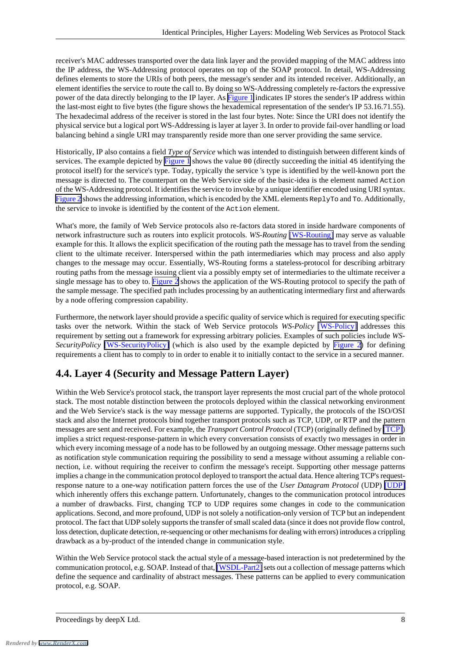receiver's MAC addresses transported over the data link layer and the provided mapping of the MAC address into the IP address, the WS-Addressing protocol operates on top of the SOAP protocol. In detail, WS-Addressing defines elements to store the URIs of both peers, the message's sender and its intended receiver. Additionally, an element identifies the service to route the call to. By doing so WS-Addressing completely re-factors the expressive power of the data directly belonging to the IP layer. As [Figure 1](#page-5-4) indicates IP stores the sender's IP address within the last-most eight to five bytes (the figure shows the hexademical representation of the sender's IP 53.16.71.55). The hexadecimal address of the receiver is stored in the last four bytes. Note: Since the URI does not identify the physical service but a logical port WS-Addressing is layer at layer 3. In order to provide fail-over handling or load balancing behind a single URI may transparently reside more than one server providing the same service.

Historically, IP also contains a field *Type of Service* which was intended to distinguish between different kinds of services. The example depicted by [Figure 1](#page-5-4) shows the value 00 (directly succeeding the initial 45 identifying the protocol itself) for the service's type. Today, typically the service 's type is identified by the well-known port the message is directed to. The counterpart on the Web Service side of the basic-idea is the element named Action of the WS-Addressing protocol. It identifies the service to invoke by a unique identifier encoded using URI syntax. [Figure 2](#page-10-3) shows the addressing information, which is encoded by the XML elements ReplyTo and To. Additionally, the service to invoke is identified by the content of the Action element.

What's more, the family of Web Service protocols also re-factors data stored in inside hardware components of network infrastructure such as routers into explicit protocols. *WS-Routing* [\[WS-Routing\]](#page-12-10) may serve as valuable example for this. It allows the explicit specification of the routing path the message has to travel from the sending client to the ultimate receiver. Interspersed within the path intermediaries which may process and also apply changes to the message may occur. Essentially, WS-Routing forms a stateless-protocol for describing arbitrary routing paths from the message issuing client via a possibly empty set of intermediaries to the ultimate receiver a single message has to obey to. [Figure 2](#page-10-3) shows the application of the WS-Routing protocol to specify the path of the sample message. The specified path includes processing by an authenticating intermediary first and afterwards by a node offering compression capability.

<span id="page-7-0"></span>Furthermore, the network layer should provide a specific quality of service which is required for executing specific tasks over the network. Within the stack of Web Service protocols *WS-Policy* [\[WS-Policy\]](#page-12-11) addresses this requirement by setting out a framework for expressing arbitrary policies. Examples of such policies include *WS-SecurityPolicy* [\[WS-SecurityPolicy\]](#page-12-12) (which is also used by the example depicted by [Figure 2](#page-10-3)) for defining requirements a client has to comply to in order to enable it to initially contact to the service in a secured manner.

## **4.4. Layer 4 (Security and Message Pattern Layer)**

Within the Web Service's protocol stack, the transport layer represents the most crucial part of the whole protocol stack. The most notable distinction between the protocols deployed within the classical networking environment and the Web Service's stack is the way message patterns are supported. Typically, the protocols of the ISO/OSI stack and also the Internet protocols bind together transport protocols such as TCP, UDP, or RTP and the pattern messages are sent and received. For example, the *Transport Control Protocol* (TCP) (originally defined by [\[TCP\]\)](#page-12-1) implies a strict request-response-pattern in which every conversation consists of exactly two messages in order in which every incoming message of a node has to be followed by an outgoing message. Other message patterns such as notification style communication requiring the possibility to send a message without assuming a reliable connection, i.e. without requiring the receiver to confirm the message's receipt. Supporting other message patterns implies a change in the communication protocol deployed to transport the actual data. Hence altering TCP's requestresponse nature to a one-way notification pattern forces the use of the *User Datagram Protocol* (UDP) [\[UDP\]](#page-12-13) which inherently offers this exchange pattern. Unfortunately, changes to the communication protocol introduces a number of drawbacks. First, changing TCP to UDP requires some changes in code to the communication applications. Second, and more profound, UDP is not solely a notification-only version of TCP but an independent protocol. The fact that UDP solely supports the transfer of small scaled data (since it does not provide flow control, loss detection, duplicate detection, re-sequencing or other mechanisms for dealing with errors) introduces a crippling drawback as a by-product of the intended change in communication style.

Within the Web Service protocol stack the actual style of a message-based interaction is not predetermined by the communication protocol, e.g. SOAP. Instead of that, [\[WSDL-Part2\]](#page-12-5) sets out a collection of message patterns which define the sequence and cardinality of abstract messages. These patterns can be applied to every communication protocol, e.g. SOAP.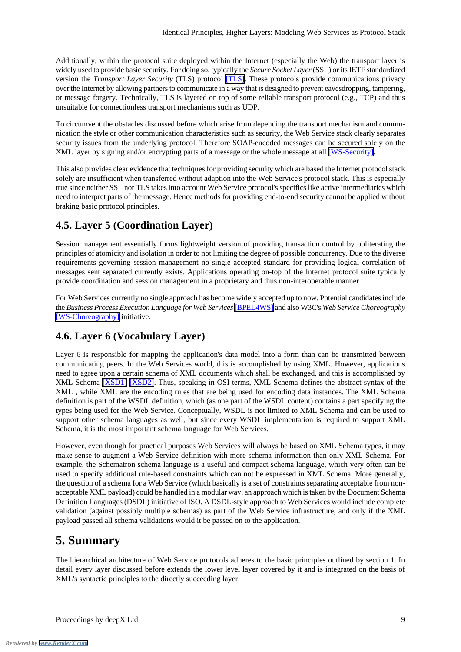Additionally, within the protocol suite deployed within the Internet (especially the Web) the transport layer is widely used to provide basic security. For doing so, typically the *Secure Socket Layer* (SSL) or its IETF standardized version the *Transport Layer Security* (TLS) protocol [\[TLS\].](#page-12-14) These protocols provide communications privacy over the Internet by allowing partners to communicate in a way that is designed to prevent eavesdropping, tampering, or message forgery. Technically, TLS is layered on top of some reliable transport protocol (e.g., TCP) and thus unsuitable for connectionless transport mechanisms such as UDP.

To circumvent the obstacles discussed before which arise from depending the transport mechanism and communication the style or other communication characteristics such as security, the Web Service stack clearly separates security issues from the underlying protocol. Therefore SOAP-encoded messages can be secured solely on the XML layer by signing and/or encrypting parts of a message or the whole message at all [\[WS-Security\]](#page-13-3).

<span id="page-8-0"></span>This also provides clear evidence that techniques for providing security which are based the Internet protocol stack solely are insufficient when transferred without adaption into the Web Service's protocol stack. This is especially true since neither SSL nor TLS takes into account Web Service protocol's specifics like active intermediaries which need to interpret parts of the message. Hence methods for providing end-to-end security cannot be applied without braking basic protocol principles.

#### **4.5. Layer 5 (Coordination Layer)**

Session management essentially forms lightweight version of providing transaction control by obliterating the principles of atomicity and isolation in order to not limiting the degree of possible concurrency. Due to the diverse requirements governing session management no single accepted standard for providing logical correlation of messages sent separated currently exists. Applications operating on-top of the Internet protocol suite typically provide coordination and session management in a proprietary and thus non-interoperable manner.

<span id="page-8-1"></span>For Web Services currently no single approach has become widely accepted up to now. Potential candidates include the *Business Process Execution Language for Web Services*[\[BPEL4WS\]](#page-11-5) and also W3C's *Web Service Choreography* [\[WS-Choreography\]](#page-12-15) initiative.

#### **4.6. Layer 6 (Vocabulary Layer)**

Layer 6 is responsible for mapping the application's data model into a form than can be transmitted between communicating peers. In the Web Services world, this is accomplished by using XML. However, applications need to agree upon a certain schema of XML documents which shall be exchanged, and this is accomplished by XML Schema [\[XSD1\]](#page-13-4) [\[XSD2\].](#page-13-5) Thus, speaking in OSI terms, XML Schema defines the abstract syntax of the XML , while XML are the encoding rules that are being used for encoding data instances. The XML Schema definition is part of the WSDL definition, which (as one part of the WSDL content) contains a part specifying the types being used for the Web Service. Conceptually, WSDL is not limited to XML Schema and can be used to support other schema languages as well, but since every WSDL implementation is required to support XML Schema, it is the most important schema language for Web Services.

<span id="page-8-2"></span>However, even though for practical purposes Web Services will always be based on XML Schema types, it may make sense to augment a Web Service definition with more schema information than only XML Schema. For example, the Schematron schema language is a useful and compact schema language, which very often can be used to specify additional rule-based constraints which can not be expressed in XML Schema. More generally, the question of a schema for a Web Service (which basically is a set of constraints separating acceptable from nonacceptable XML payload) could be handled in a modular way, an approach which is taken by the Document Schema Definition Languages (DSDL) initiative of ISO. A DSDL-style approach to Web Services would include complete validation (against possibly multiple schemas) as part of the Web Service infrastructure, and only if the XML payload passed all schema validations would it be passed on to the application.

## **5. Summary**

The hierarchical architecture of Web Service protocols adheres to the basic principles outlined by section 1. In detail every layer discussed before extends the lower level layer covered by it and is integrated on the basis of XML's syntactic principles to the directly succeeding layer.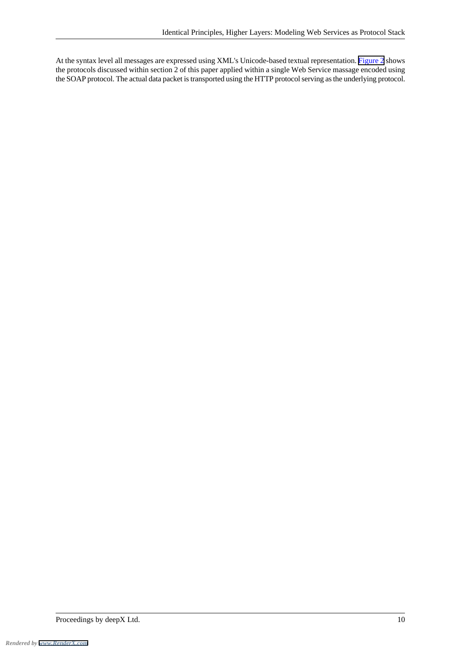At the syntax level all messages are expressed using XML's Unicode-based textual representation. [Figure 2](#page-10-3) shows the protocols discussed within section 2 of this paper applied within a single Web Service massage encoded using the SOAP protocol. The actual data packet is transported using the HTTP protocol serving as the underlying protocol.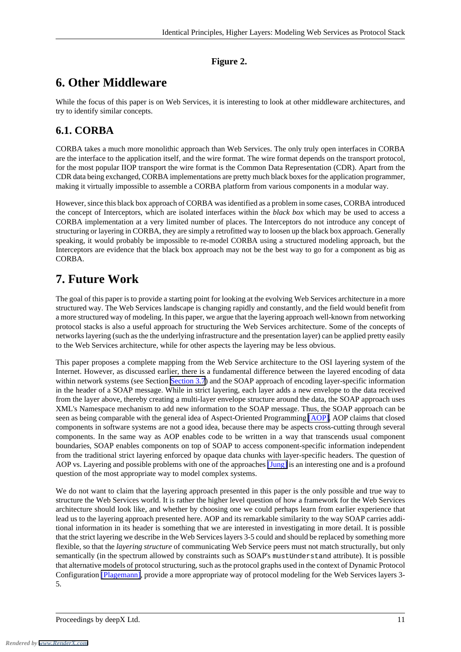#### **Figure 2.**

## <span id="page-10-3"></span><span id="page-10-0"></span>**6. Other Middleware**

<span id="page-10-1"></span>While the focus of this paper is on Web Services, it is interesting to look at other middleware architectures, and try to identify similar concepts.

#### **6.1. CORBA**

CORBA takes a much more monolithic approach than Web Services. The only truly open interfaces in CORBA are the interface to the application itself, and the wire format. The wire format depends on the transport protocol, for the most popular IIOP transport the wire format is the Common Data Representation (CDR). Apart from the CDR data being exchanged, CORBA implementations are pretty much black boxes for the application programmer, making it virtually impossible to assemble a CORBA platform from various components in a modular way.

However, since this black box approach of CORBA was identified as a problem in some cases, CORBA introduced the concept of Interceptors, which are isolated interfaces within the *black box* which may be used to access a CORBA implementation at a very limited number of places. The Interceptors do not introduce any concept of structuring or layering in CORBA, they are simply a retrofitted way to loosen up the black box approach. Generally speaking, it would probably be impossible to re-model CORBA using a structured modeling approach, but the Interceptors are evidence that the black box approach may not be the best way to go for a component as big as CORBA.

## <span id="page-10-2"></span>**7. Future Work**

The goal of this paper is to provide a starting point for looking at the evolving Web Services architecture in a more structured way. The Web Services landscape is changing rapidly and constantly, and the field would benefit from a more structured way of modeling. In this paper, we argue that the layering approach well-known from networking protocol stacks is also a useful approach for structuring the Web Services architecture. Some of the concepts of networks layering (such as the the underlying infrastructure and the presentation layer) can be applied pretty easily to the Web Services architecture, while for other aspects the layering may be less obvious.

This paper proposes a complete mapping from the Web Service architecture to the OSI layering system of the Internet. However, as discussed earlier, there is a fundamental difference between the layered encoding of data within network systems (see Section [Section 3.7](#page-5-1)) and the SOAP approach of encoding layer-specific information in the header of a SOAP message. While in strict layering, each layer adds a new envelope to the data received from the layer above, thereby creating a multi-layer envelope structure around the data, the SOAP approach uses XML's Namespace mechanism to add new information to the SOAP message. Thus, the SOAP approach can be seen as being comparable with the general idea of Aspect-Oriented Programming [\[AOP\].](#page-11-6) AOP claims that closed components in software systems are not a good idea, because there may be aspects cross-cutting through several components. In the same way as AOP enables code to be written in a way that transcends usual component boundaries, SOAP enables components on top of SOAP to access component-specific information independent from the traditional strict layering enforced by opaque data chunks with layer-specific headers. The question of AOP vs. Layering and possible problems with one of the approaches [\[Jung\]](#page-12-16) is an interesting one and is a profound question of the most appropriate way to model complex systems.

We do not want to claim that the layering approach presented in this paper is the only possible and true way to structure the Web Services world. It is rather the higher level question of how a framework for the Web Services architecture should look like, and whether by choosing one we could perhaps learn from earlier experience that lead us to the layering approach presented here. AOP and its remarkable similarity to the way SOAP carries additional information in its header is something that we are interested in investigating in more detail. It is possible that the strict layering we describe in the Web Services layers 3-5 could and should be replaced by something more flexible, so that the *layering structure* of communicating Web Service peers must not match structurally, but only semantically (in the spectrum allowed by constraints such as SOAP's mustUnderstand attribute). It is possible that alternative models of protocol structuring, such as the protocol graphs used in the context of Dynamic Protocol Configuration [\[Plagemann\],](#page-12-17) provide a more appropriate way of protocol modeling for the Web Services layers 3- 5.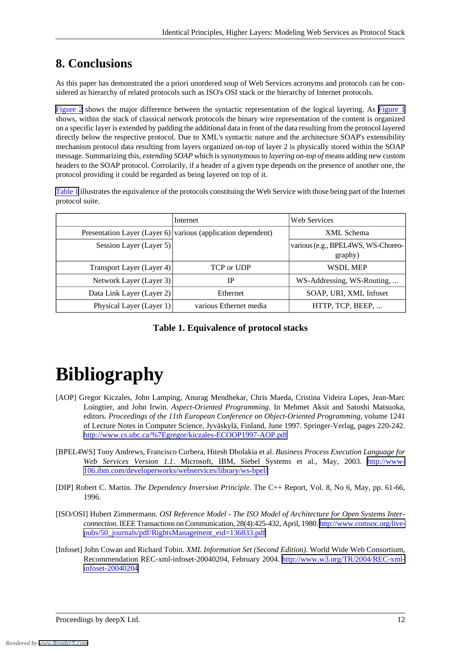## <span id="page-11-0"></span>**8. Conclusions**

As this paper has demonstrated the a priori unordered soup of Web Services acronyms and protocols can be considered as hierarchy of related protocols such as ISO's OSI stack or the hierarchy of Internet protocols.

[Figure 2](#page-10-3) shows the major difference between the syntactic representation of the logical layering. As [Figure 1](#page-5-4) shows, within the stack of classical network protocols the binary wire representation of the content is organized on a specific layer is extended by padding the additional data in front of the data resulting from the protocol layered directly below the respective protocol. Due to XML's syntactic nature and the architecture SOAP's extensibility mechanism protocol data resulting from layers organized on-top of layer 2 is physically stored within the SOAP message. Summarizing this, *extending SOAP* which is synonymous to *layering on-top of* means adding new custom headers to the SOAP protocol. Corrolarily, if a header of a given type depends on the presence of another one, the protocol providing it could be regarded as being layered on top of it.

<span id="page-11-7"></span>[Table 1](#page-11-7) illustrates the equivalence of the protocols constituing the Web Service with those being part of the Internet protocol suite.

|                           | Internet                                                     | <b>Web Services</b>                           |
|---------------------------|--------------------------------------------------------------|-----------------------------------------------|
|                           | Presentation Layer (Layer 6) various (application dependent) | XML Schema                                    |
| Session Layer (Layer 5)   |                                                              | various (e.g., BPEL4WS, WS-Choreo-<br>graphy) |
| Transport Layer (Layer 4) | TCP or UDP                                                   | WSDL MEP                                      |
| Network Layer (Layer 3)   | IP                                                           | WS-Addressing, WS-Routing,                    |
| Data Link Layer (Layer 2) | Ethernet                                                     | SOAP, URI, XML Infoset                        |
| Physical Layer (Layer 1)  | various Ethernet media                                       | HTTP, TCP, BEEP,                              |

#### **Table 1. Equivalence of protocol stacks**

# <span id="page-11-6"></span><span id="page-11-1"></span>**Bibliography**

- <span id="page-11-5"></span>[AOP] Gregor Kiczales, John Lamping, Anurag Mendhekar, Chris Maeda, Cristina Videira Lopes, Jean-Marc Loingtier, and John Irwin. *Aspect-Oriented Programming*. In Mehmet Aksit and Satoshi Matsuoka, editors. *Proceedings of the 11th European Conference on Object-Oriented Programming*, volume 1241 of Lecture Notes in Computer Science, Jyväskylä, Finland, June 1997. Springer-Verlag, pages 220-242. <http://www.cs.ubc.ca/%7Egregor/kiczales-ECOOP1997-AOP.pdf>
- <span id="page-11-3"></span><span id="page-11-2"></span>[BPEL4WS] Tony Andrews, Francisco Curbera, Hitesh Dholakia et al. *Business Process Execution Language for Web Services Version 1.1*. Microsoft, IBM, Siebel Systems et al., May, 2003. [http://www-](http://www-106.ibm.com/developerworks/webservices/library/ws-bpel/)[106.ibm.com/developerworks/webservices/library/ws-bpel/](http://www-106.ibm.com/developerworks/webservices/library/ws-bpel/)
- <span id="page-11-4"></span>[DIP] Robert C. Martin. *The Dependency Inversion Principle*. The C++ Report, Vol. 8, No 6, May, pp. 61-66, 1996.
- [ISO/OSI] Hubert Zimmermann. *OSI Reference Model The ISO Model of Architecture for Open Systems Interconnection*. IEEE Transactions on Communication, 28(4):425-432, April, 1980. [http://www.comsoc.org/live](http://www.comsoc.org/livepubs/50_journals/pdf/RightsManagement_eid=136833.pdf)[pubs/50\\_journals/pdf/RightsManagement\\_eid=136833.pdf](http://www.comsoc.org/livepubs/50_journals/pdf/RightsManagement_eid=136833.pdf)
- [Infoset] John Cowan and Richard Tobin. *XML Information Set (Second Edition)*. World Wide Web Consortium, Recommendation REC-xml-infoset-20040204, February 2004. [http://www.w3.org/TR/2004/REC-xml](http://www.w3.org/TR/2004/REC-xml-infoset-20040204)[infoset-20040204](http://www.w3.org/TR/2004/REC-xml-infoset-20040204)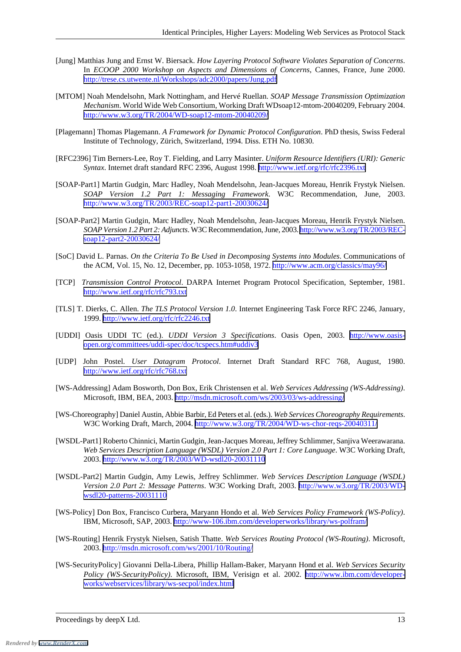- <span id="page-12-16"></span>[Jung] Matthias Jung and Ernst W. Biersack. *How Layering Protocol Software Violates Separation of Concerns*. In *ECOOP 2000 Workshop on Aspects and Dimensions of Concerns*, Cannes, France, June 2000. <http://trese.cs.utwente.nl/Workshops/adc2000/papers/Jung.pdf>
- <span id="page-12-8"></span>[MTOM] Noah Mendelsohn, Mark Nottingham, and Hervé Ruellan. *SOAP Message Transmission Optimization Mechanism*. World Wide Web Consortium, Working Draft WDsoap12-mtom-20040209, February 2004. <http://www.w3.org/TR/2004/WD-soap12-mtom-20040209/>
- <span id="page-12-17"></span><span id="page-12-7"></span>[Plagemann] Thomas Plagemann. *A Framework for Dynamic Protocol Configuration*. PhD thesis, Swiss Federal Institute of Technology, Zürich, Switzerland, 1994. Diss. ETH No. 10830.
- <span id="page-12-2"></span>[RFC2396] Tim Berners-Lee, Roy T. Fielding, and Larry Masinter. *Uniform Resource Identifiers (URI): Generic Syntax*. Internet draft standard RFC 2396, August 1998. <http://www.ietf.org/rfc/rfc2396.txt>
- <span id="page-12-3"></span>[SOAP-Part1] Martin Gudgin, Marc Hadley, Noah Mendelsohn, Jean-Jacques Moreau, Henrik Frystyk Nielsen. *SOAP Version 1.2 Part 1: Messaging Framework*. W3C Recommendation, June, 2003. <http://www.w3.org/TR/2003/REC-soap12-part1-20030624/>
- <span id="page-12-0"></span>[SOAP-Part2] Martin Gudgin, Marc Hadley, Noah Mendelsohn, Jean-Jacques Moreau, Henrik Frystyk Nielsen. *SOAP Version 1.2 Part 2: Adjuncts*. W3C Recommendation, June, 2003. [http://www.w3.org/TR/2003/REC](http://www.w3.org/TR/2003/REC-soap12-part2-20030624/)[soap12-part2-20030624/](http://www.w3.org/TR/2003/REC-soap12-part2-20030624/)
- <span id="page-12-1"></span>[SoC] David L. Parnas. *On the Criteria To Be Used in Decomposing Systems into Modules*. Communications of the ACM, Vol. 15, No. 12, December, pp. 1053-1058, 1972.<http://www.acm.org/classics/may96/>
- <span id="page-12-14"></span>[TCP] *Transmission Control Protocol*. DARPA Internet Program Protocol Specification, September, 1981. <http://www.ietf.org/rfc/rfc793.txt>
- <span id="page-12-6"></span>[TLS] T. Dierks, C. Allen. *The TLS Protocol Version 1.0*. Internet Engineering Task Force RFC 2246, January, 1999. <http://www.ietf.org/rfc/rfc2246.txt>
- <span id="page-12-13"></span>[UDDI] Oasis UDDI TC (ed.). *UDDI Version 3 Specifications*. Oasis Open, 2003. [http://www.oasis](http://www.oasis-open.org/committees/uddi-spec/doc/tcspecs.htm#uddiv3)[open.org/committees/uddi-spec/doc/tcspecs.htm#uddiv3](http://www.oasis-open.org/committees/uddi-spec/doc/tcspecs.htm#uddiv3)
- <span id="page-12-15"></span><span id="page-12-9"></span>[UDP] John Postel. *User Datagram Protocol*. Internet Draft Standard RFC 768, August, 1980. <http://www.ietf.org/rfc/rfc768.txt>
- <span id="page-12-4"></span>[WS-Addressing] Adam Bosworth, Don Box, Erik Christensen et al. *Web Services Addressing (WS-Addressing)*. Microsoft, IBM, BEA, 2003.<http://msdn.microsoft.com/ws/2003/03/ws-addressing/>
- <span id="page-12-5"></span>[WS-Choreography] Daniel Austin, Abbie Barbir, Ed Peters et al. (eds.). *Web Services Choreography Requirements*. W3C Working Draft, March, 2004. <http://www.w3.org/TR/2004/WD-ws-chor-reqs-20040311/>
- [WSDL-Part1] Roberto Chinnici, Martin Gudgin, Jean-Jacques Moreau, Jeffrey Schlimmer, Sanjiva Weerawarana. *Web Services Description Language (WSDL) Version 2.0 Part 1: Core Language*. W3C Working Draft, 2003. <http://www.w3.org/TR/2003/WD-wsdl20-20031110>
- <span id="page-12-11"></span><span id="page-12-10"></span>[WSDL-Part2] Martin Gudgin, Amy Lewis, Jeffrey Schlimmer. *Web Services Description Language (WSDL) Version 2.0 Part 2: Message Patterns*. W3C Working Draft, 2003. [http://www.w3.org/TR/2003/WD](http://www.w3.org/TR/2003/WD-wsdl20-patterns-20031110)[wsdl20-patterns-20031110](http://www.w3.org/TR/2003/WD-wsdl20-patterns-20031110)
- <span id="page-12-12"></span>[WS-Policy] Don Box, Francisco Curbera, Maryann Hondo et al. *Web Services Policy Framework (WS-Policy)*. IBM, Microsoft, SAP, 2003. <http://www-106.ibm.com/developerworks/library/ws-polfram/>
- [WS-Routing] Henrik Frystyk Nielsen, Satish Thatte. *Web Services Routing Protocol (WS-Routing)*. Microsoft, 2003. <http://msdn.microsoft.com/ws/2001/10/Routing/>
- [WS-SecurityPolicy] Giovanni Della-Libera, Phillip Hallam-Baker, Maryann Hond et al. *Web Services Security Policy (WS-SecurityPolicy)*. Microsoft, IBM, Verisign et al. 2002. [http://www.ibm.com/developer](http://www.ibm.com/developerworks/webservices/library/ws-secpol/index.html)[works/webservices/library/ws-secpol/index.html](http://www.ibm.com/developerworks/webservices/library/ws-secpol/index.html)